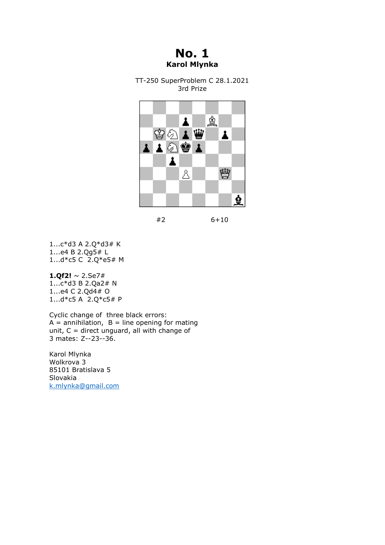# **No. 1 Karol Mlynka**

TT-250 SuperProblem C 28.1.2021 3rd Prize



#2 6+10

1...c\*d3 A 2.Q\*d3# K 1...e4 B 2.Qg5# L 1...d\*c5 C 2.Q\*e5# M

#### **1.Qf2!** ~ 2.Se7#

1...c\*d3 B 2.Qa2# N 1...e4 C 2.Qd4# O 1...d\*c5 A 2.Q\*c5# P

Cyclic change of three black errors:  $A =$  annihilation,  $B =$  line opening for mating unit,  $C =$  direct unguard, all with change of 3 mates: Z--23--36.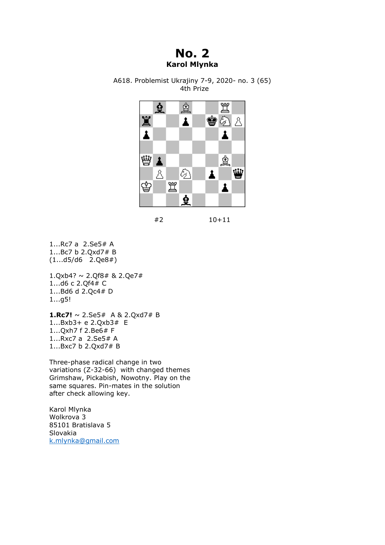# **No. 2 Karol Mlynka**



A618. Problemist Ukrajiny 7-9, 2020- no. 3 (65) 4th Prize

#2 10+11

1...Rc7 a 2.Se5# A 1...Bc7 b 2.Qxd7# B (1...d5/d6 2.Qe8#)

 $1.Qxb4? \sim 2.Qf8# 8.2.Qe7#$ 1...d6 c 2.Qf4# C 1...Bd6 d 2.Qc4# D 1...g5!

**1.Rc7!** ~ 2.Se5# A & 2.Qxd7# B 1...Bxb3+ e 2.Qxb3# E 1...Qxh7 f 2.Be6# F 1...Rxc7 a 2.Se5# A 1...Bxc7 b 2.Qxd7# B

Three-phase radical change in two variations (Z-32-66) with changed themes Grimshaw, Pickabish, Nowotny. Play on the same squares. Pin-mates in the solution after check allowing key.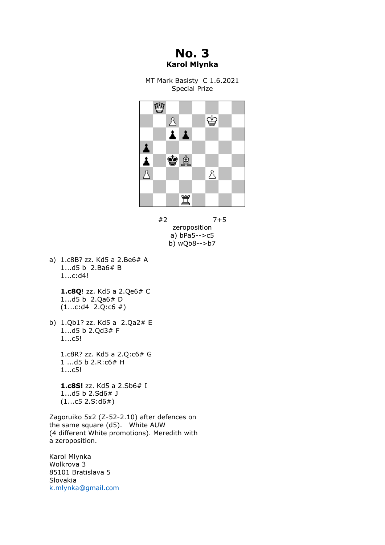**No. 3 Karol Mlynka**

MT Mark Basisty C 1.6.2021 Special Prize



#2 7+5 zeroposition a) bPa5-->c5 b) wQb8-->b7

a) 1.c8B? zz. Kd5 a 2.Be6# A 1...d5 b 2.Ba6# B 1...c:d4!

> **1.c8Q**! zz. Kd5 a 2.Qe6# C 1...d5 b 2.Qa6# D  $(1...c:d4 \ 2.Q:c6 \#)$

b) 1.Qb1? zz. Kd5 a 2.Qa2# E 1...d5 b 2.Qd3# F 1...c5!

> 1.c8R? zz. Kd5 a 2.Q:c6# G 1 ...d5 b 2.R:c6# H 1...c5!

 **1.c8S!** zz. Kd5 a 2.Sb6# I 1...d5 b 2.Sd6# J  $(1...c5 2.S: d6#)$ 

Zagoruiko 5x2 (Z-52-2.10) after defences on the same square (d5). White AUW (4 different White promotions). Meredith with a zeroposition.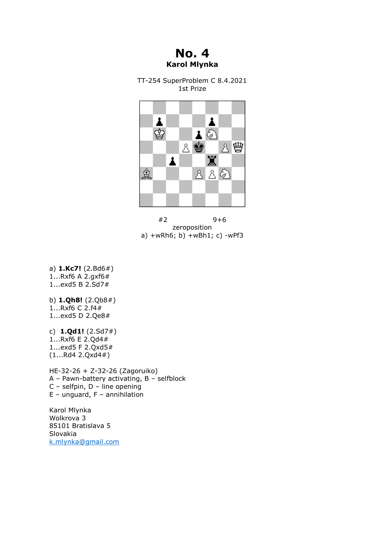# **No. 4 Karol Mlynka**

TT-254 SuperProblem C 8.4.2021 1st Prize



#2 9+6 zeroposition a) +wRh6; b) +wBh1; c) -wPf3

a) **1.Kc7!** (2.Bd6#) 1...Rxf6 A 2.gxf6# 1...exd5 B 2.Sd7#

b) **1.Qh8!** (2.Qb8#) 1...Rxf6 C 2.f4# 1...exd5 D 2.Qe8#

c) **1.Qd1!** (2.Sd7#)  $1...Rx6 \in 2.Qd4#$ 1...exd5 F 2.Qxd5# (1...Rd4 2.Qxd4#)

HE-32-26 + Z-32-26 (Zagoruiko)  $A -$  Pawn-battery activating,  $B -$  selfblock C – selfpin,  $D -$ line opening  $E$  – unguard,  $F$  – annihilation